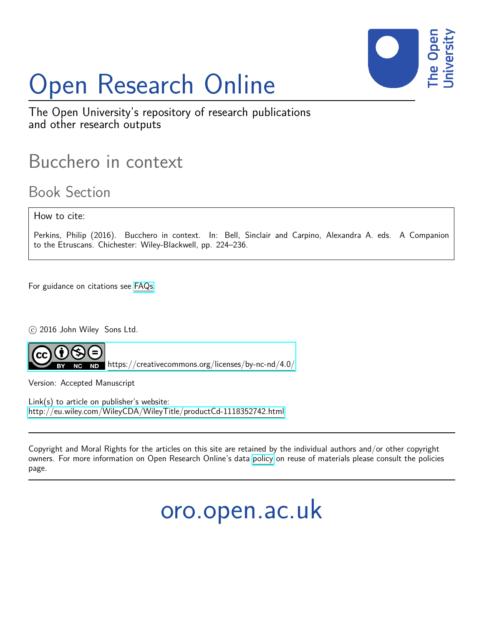

# Open Research Online

The Open University's repository of research publications and other research outputs

# Bucchero in context

Book Section

How to cite:

Perkins, Philip (2016). Bucchero in context. In: Bell, Sinclair and Carpino, Alexandra A. eds. A Companion to the Etruscans. Chichester: Wiley-Blackwell, pp. 224–236.

For guidance on citations see [FAQs.](http://oro.open.ac.uk/help/helpfaq.html)

c 2016 John Wiley Sons Ltd.

<https://creativecommons.org/licenses/by-nc-nd/4.0/>

Version: Accepted Manuscript

Link(s) to article on publisher's website: <http://eu.wiley.com/WileyCDA/WileyTitle/productCd-1118352742.html>

Copyright and Moral Rights for the articles on this site are retained by the individual authors and/or other copyright owners. For more information on Open Research Online's data [policy](http://oro.open.ac.uk/policies.html) on reuse of materials please consult the policies page.

oro.open.ac.uk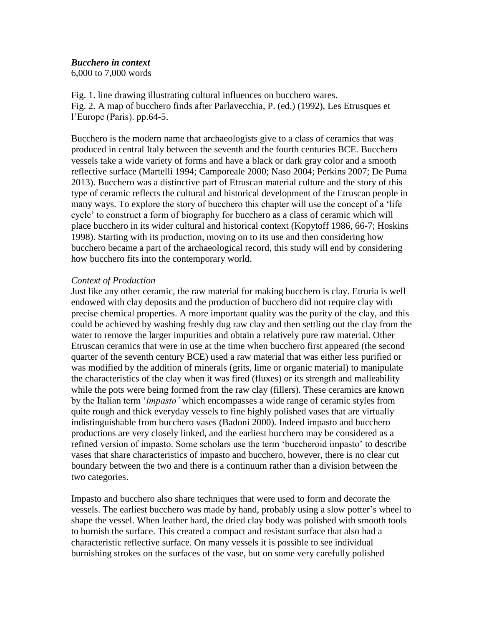## *Bucchero in context*

6,000 to 7,000 words

Fig. 1. line drawing illustrating cultural influences on bucchero wares. Fig. 2. A map of bucchero finds after Parlavecchia, P. (ed.) (1992), Les Etrusques et l'Europe (Paris). pp.64-5.

Bucchero is the modern name that archaeologists give to a class of ceramics that was produced in central Italy between the seventh and the fourth centuries BCE. Bucchero vessels take a wide variety of forms and have a black or dark gray color and a smooth reflective surface (Martelli 1994; Camporeale 2000; Naso 2004; Perkins 2007; De Puma 2013). Bucchero was a distinctive part of Etruscan material culture and the story of this type of ceramic reflects the cultural and historical development of the Etruscan people in many ways. To explore the story of bucchero this chapter will use the concept of a 'life cycle' to construct a form of biography for bucchero as a class of ceramic which will place bucchero in its wider cultural and historical context (Kopytoff 1986, 66-7; Hoskins 1998). Starting with its production, moving on to its use and then considering how bucchero became a part of the archaeological record, this study will end by considering how bucchero fits into the contemporary world.

### *Context of Production*

Just like any other ceramic, the raw material for making bucchero is clay. Etruria is well endowed with clay deposits and the production of bucchero did not require clay with precise chemical properties. A more important quality was the purity of the clay, and this could be achieved by washing freshly dug raw clay and then settling out the clay from the water to remove the larger impurities and obtain a relatively pure raw material. Other Etruscan ceramics that were in use at the time when bucchero first appeared (the second quarter of the seventh century BCE) used a raw material that was either less purified or was modified by the addition of minerals (grits, lime or organic material) to manipulate the characteristics of the clay when it was fired (fluxes) or its strength and malleability while the pots were being formed from the raw clay (fillers). These ceramics are known by the Italian term '*impasto'* which encompasses a wide range of ceramic styles from quite rough and thick everyday vessels to fine highly polished vases that are virtually indistinguishable from bucchero vases (Badoni 2000). Indeed impasto and bucchero productions are very closely linked, and the earliest bucchero may be considered as a refined version of impasto. Some scholars use the term 'buccheroid impasto' to describe vases that share characteristics of impasto and bucchero, however, there is no clear cut boundary between the two and there is a continuum rather than a division between the two categories.

Impasto and bucchero also share techniques that were used to form and decorate the vessels. The earliest bucchero was made by hand, probably using a slow potter's wheel to shape the vessel. When leather hard, the dried clay body was polished with smooth tools to burnish the surface. This created a compact and resistant surface that also had a characteristic reflective surface. On many vessels it is possible to see individual burnishing strokes on the surfaces of the vase, but on some very carefully polished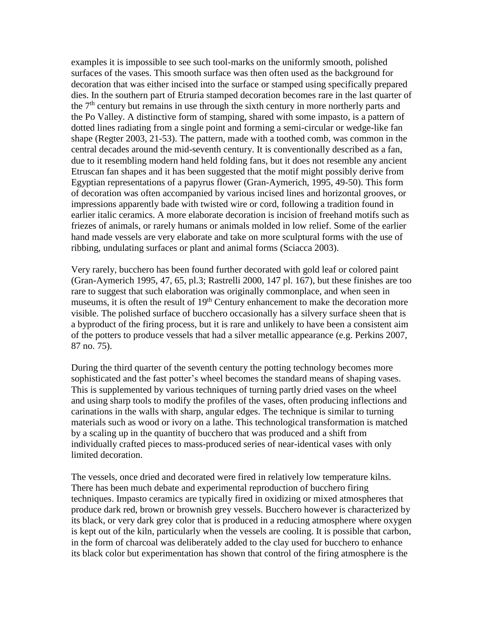examples it is impossible to see such tool-marks on the uniformly smooth, polished surfaces of the vases. This smooth surface was then often used as the background for decoration that was either incised into the surface or stamped using specifically prepared dies. In the southern part of Etruria stamped decoration becomes rare in the last quarter of the  $7<sup>th</sup>$  century but remains in use through the sixth century in more northerly parts and the Po Valley. A distinctive form of stamping, shared with some impasto, is a pattern of dotted lines radiating from a single point and forming a semi-circular or wedge-like fan shape (Regter 2003, 21-53). The pattern, made with a toothed comb, was common in the central decades around the mid-seventh century. It is conventionally described as a fan, due to it resembling modern hand held folding fans, but it does not resemble any ancient Etruscan fan shapes and it has been suggested that the motif might possibly derive from Egyptian representations of a papyrus flower (Gran-Aymerich, 1995, 49-50). This form of decoration was often accompanied by various incised lines and horizontal grooves, or impressions apparently bade with twisted wire or cord, following a tradition found in earlier italic ceramics. A more elaborate decoration is incision of freehand motifs such as friezes of animals, or rarely humans or animals molded in low relief. Some of the earlier hand made vessels are very elaborate and take on more sculptural forms with the use of ribbing, undulating surfaces or plant and animal forms (Sciacca 2003).

Very rarely, bucchero has been found further decorated with gold leaf or colored paint (Gran-Aymerich 1995, 47, 65, pl.3; Rastrelli 2000, 147 pl. 167), but these finishes are too rare to suggest that such elaboration was originally commonplace, and when seen in museums, it is often the result of 19<sup>th</sup> Century enhancement to make the decoration more visible. The polished surface of bucchero occasionally has a silvery surface sheen that is a byproduct of the firing process, but it is rare and unlikely to have been a consistent aim of the potters to produce vessels that had a silver metallic appearance (e.g. Perkins 2007, 87 no. 75).

During the third quarter of the seventh century the potting technology becomes more sophisticated and the fast potter's wheel becomes the standard means of shaping vases. This is supplemented by various techniques of turning partly dried vases on the wheel and using sharp tools to modify the profiles of the vases, often producing inflections and carinations in the walls with sharp, angular edges. The technique is similar to turning materials such as wood or ivory on a lathe. This technological transformation is matched by a scaling up in the quantity of bucchero that was produced and a shift from individually crafted pieces to mass-produced series of near-identical vases with only limited decoration.

The vessels, once dried and decorated were fired in relatively low temperature kilns. There has been much debate and experimental reproduction of bucchero firing techniques. Impasto ceramics are typically fired in oxidizing or mixed atmospheres that produce dark red, brown or brownish grey vessels. Bucchero however is characterized by its black, or very dark grey color that is produced in a reducing atmosphere where oxygen is kept out of the kiln, particularly when the vessels are cooling. It is possible that carbon, in the form of charcoal was deliberately added to the clay used for bucchero to enhance its black color but experimentation has shown that control of the firing atmosphere is the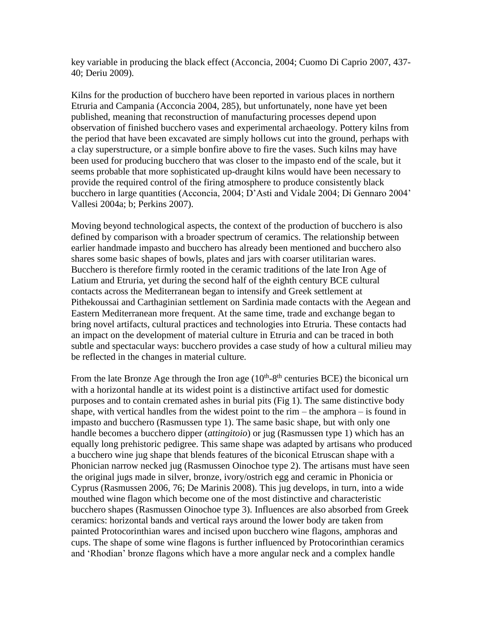key variable in producing the black effect (Acconcia, 2004; Cuomo Di Caprio 2007, 437- 40; Deriu 2009).

Kilns for the production of bucchero have been reported in various places in northern Etruria and Campania (Acconcia 2004, 285), but unfortunately, none have yet been published, meaning that reconstruction of manufacturing processes depend upon observation of finished bucchero vases and experimental archaeology. Pottery kilns from the period that have been excavated are simply hollows cut into the ground, perhaps with a clay superstructure, or a simple bonfire above to fire the vases. Such kilns may have been used for producing bucchero that was closer to the impasto end of the scale, but it seems probable that more sophisticated up-draught kilns would have been necessary to provide the required control of the firing atmosphere to produce consistently black bucchero in large quantities (Acconcia, 2004; D'Asti and Vidale 2004; Di Gennaro 2004' Vallesi 2004a; b; Perkins 2007).

Moving beyond technological aspects, the context of the production of bucchero is also defined by comparison with a broader spectrum of ceramics. The relationship between earlier handmade impasto and bucchero has already been mentioned and bucchero also shares some basic shapes of bowls, plates and jars with coarser utilitarian wares. Bucchero is therefore firmly rooted in the ceramic traditions of the late Iron Age of Latium and Etruria, yet during the second half of the eighth century BCE cultural contacts across the Mediterranean began to intensify and Greek settlement at Pithekoussai and Carthaginian settlement on Sardinia made contacts with the Aegean and Eastern Mediterranean more frequent. At the same time, trade and exchange began to bring novel artifacts, cultural practices and technologies into Etruria. These contacts had an impact on the development of material culture in Etruria and can be traced in both subtle and spectacular ways: bucchero provides a case study of how a cultural milieu may be reflected in the changes in material culture.

From the late Bronze Age through the Iron age  $(10<sup>th</sup>-8<sup>th</sup>$  centuries BCE) the biconical urn with a horizontal handle at its widest point is a distinctive artifact used for domestic purposes and to contain cremated ashes in burial pits (Fig 1). The same distinctive body shape, with vertical handles from the widest point to the rim – the amphora – is found in impasto and bucchero (Rasmussen type 1). The same basic shape, but with only one handle becomes a bucchero dipper (*attingitoio*) or jug (Rasmussen type 1) which has an equally long prehistoric pedigree. This same shape was adapted by artisans who produced a bucchero wine jug shape that blends features of the biconical Etruscan shape with a Phonician narrow necked jug (Rasmussen Oinochoe type 2). The artisans must have seen the original jugs made in silver, bronze, ivory/ostrich egg and ceramic in Phonicia or Cyprus (Rasmussen 2006, 76; De Marinis 2008). This jug develops, in turn, into a wide mouthed wine flagon which become one of the most distinctive and characteristic bucchero shapes (Rasmussen Oinochoe type 3). Influences are also absorbed from Greek ceramics: horizontal bands and vertical rays around the lower body are taken from painted Protocorinthian wares and incised upon bucchero wine flagons, amphoras and cups. The shape of some wine flagons is further influenced by Protocorinthian ceramics and 'Rhodian' bronze flagons which have a more angular neck and a complex handle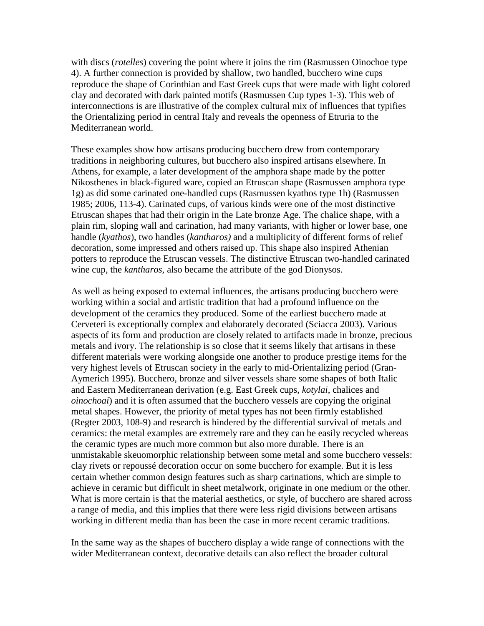with discs (*rotelles*) covering the point where it joins the rim (Rasmussen Oinochoe type 4). A further connection is provided by shallow, two handled, bucchero wine cups reproduce the shape of Corinthian and East Greek cups that were made with light colored clay and decorated with dark painted motifs (Rasmussen Cup types 1-3). This web of interconnections is are illustrative of the complex cultural mix of influences that typifies the Orientalizing period in central Italy and reveals the openness of Etruria to the Mediterranean world.

These examples show how artisans producing bucchero drew from contemporary traditions in neighboring cultures, but bucchero also inspired artisans elsewhere. In Athens, for example, a later development of the amphora shape made by the potter Nikosthenes in black-figured ware, copied an Etruscan shape (Rasmussen amphora type 1g) as did some carinated one-handled cups (Rasmussen kyathos type 1h) (Rasmussen 1985; 2006, 113-4). Carinated cups, of various kinds were one of the most distinctive Etruscan shapes that had their origin in the Late bronze Age. The chalice shape, with a plain rim, sloping wall and carination, had many variants, with higher or lower base, one handle (*kyathos*), two handles (*kantharos)* and a multiplicity of different forms of relief decoration, some impressed and others raised up. This shape also inspired Athenian potters to reproduce the Etruscan vessels. The distinctive Etruscan two-handled carinated wine cup, the *kantharos,* also became the attribute of the god Dionysos.

As well as being exposed to external influences, the artisans producing bucchero were working within a social and artistic tradition that had a profound influence on the development of the ceramics they produced. Some of the earliest bucchero made at Cerveteri is exceptionally complex and elaborately decorated (Sciacca 2003). Various aspects of its form and production are closely related to artifacts made in bronze, precious metals and ivory. The relationship is so close that it seems likely that artisans in these different materials were working alongside one another to produce prestige items for the very highest levels of Etruscan society in the early to mid-Orientalizing period (Gran-Aymerich 1995). Bucchero, bronze and silver vessels share some shapes of both Italic and Eastern Mediterranean derivation (e.g. East Greek cups, *kotylai*, chalices and *oinochoai*) and it is often assumed that the bucchero vessels are copying the original metal shapes. However, the priority of metal types has not been firmly established (Regter 2003, 108-9) and research is hindered by the differential survival of metals and ceramics: the metal examples are extremely rare and they can be easily recycled whereas the ceramic types are much more common but also more durable. There is an unmistakable skeuomorphic relationship between some metal and some bucchero vessels: clay rivets or repoussé decoration occur on some bucchero for example. But it is less certain whether common design features such as sharp carinations, which are simple to achieve in ceramic but difficult in sheet metalwork, originate in one medium or the other. What is more certain is that the material aesthetics, or style, of bucchero are shared across a range of media, and this implies that there were less rigid divisions between artisans working in different media than has been the case in more recent ceramic traditions.

In the same way as the shapes of bucchero display a wide range of connections with the wider Mediterranean context, decorative details can also reflect the broader cultural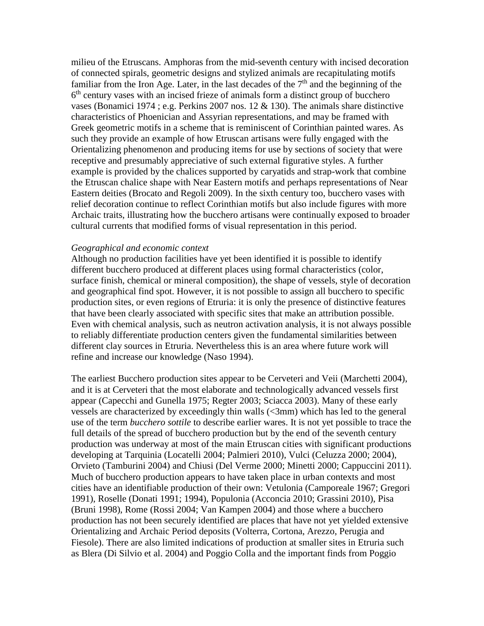milieu of the Etruscans. Amphoras from the mid-seventh century with incised decoration of connected spirals, geometric designs and stylized animals are recapitulating motifs familiar from the Iron Age. Later, in the last decades of the  $7<sup>th</sup>$  and the beginning of the 6<sup>th</sup> century vases with an incised frieze of animals form a distinct group of bucchero vases (Bonamici 1974 ; e.g. Perkins 2007 nos. 12 & 130). The animals share distinctive characteristics of Phoenician and Assyrian representations, and may be framed with Greek geometric motifs in a scheme that is reminiscent of Corinthian painted wares. As such they provide an example of how Etruscan artisans were fully engaged with the Orientalizing phenomenon and producing items for use by sections of society that were receptive and presumably appreciative of such external figurative styles. A further example is provided by the chalices supported by caryatids and strap-work that combine the Etruscan chalice shape with Near Eastern motifs and perhaps representations of Near Eastern deities (Brocato and Regoli 2009). In the sixth century too, bucchero vases with relief decoration continue to reflect Corinthian motifs but also include figures with more Archaic traits, illustrating how the bucchero artisans were continually exposed to broader cultural currents that modified forms of visual representation in this period.

#### *Geographical and economic context*

Although no production facilities have yet been identified it is possible to identify different bucchero produced at different places using formal characteristics (color, surface finish, chemical or mineral composition), the shape of vessels, style of decoration and geographical find spot. However, it is not possible to assign all bucchero to specific production sites, or even regions of Etruria: it is only the presence of distinctive features that have been clearly associated with specific sites that make an attribution possible. Even with chemical analysis, such as neutron activation analysis, it is not always possible to reliably differentiate production centers given the fundamental similarities between different clay sources in Etruria. Nevertheless this is an area where future work will refine and increase our knowledge (Naso 1994).

The earliest Bucchero production sites appear to be Cerveteri and Veii (Marchetti 2004), and it is at Cerveteri that the most elaborate and technologically advanced vessels first appear (Capecchi and Gunella 1975; Regter 2003; Sciacca 2003). Many of these early vessels are characterized by exceedingly thin walls (<3mm) which has led to the general use of the term *bucchero sottile* to describe earlier wares. It is not yet possible to trace the full details of the spread of bucchero production but by the end of the seventh century production was underway at most of the main Etruscan cities with significant productions developing at Tarquinia (Locatelli 2004; Palmieri 2010), Vulci (Celuzza 2000; 2004), Orvieto (Tamburini 2004) and Chiusi (Del Verme 2000; Minetti 2000; Cappuccini 2011). Much of bucchero production appears to have taken place in urban contexts and most cities have an identifiable production of their own: Vetulonia (Camporeale 1967; Gregori 1991), Roselle (Donati 1991; 1994), Populonia (Acconcia 2010; Grassini 2010), Pisa (Bruni 1998), Rome (Rossi 2004; Van Kampen 2004) and those where a bucchero production has not been securely identified are places that have not yet yielded extensive Orientalizing and Archaic Period deposits (Volterra, Cortona, Arezzo, Perugia and Fiesole). There are also limited indications of production at smaller sites in Etruria such as Blera (Di Silvio et al. 2004) and Poggio Colla and the important finds from Poggio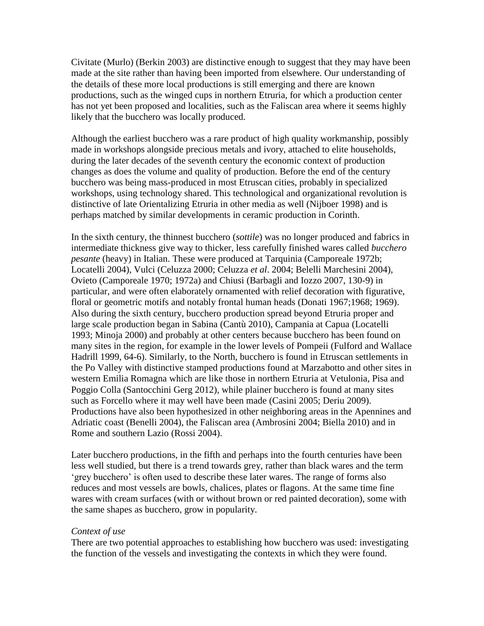Civitate (Murlo) (Berkin 2003) are distinctive enough to suggest that they may have been made at the site rather than having been imported from elsewhere. Our understanding of the details of these more local productions is still emerging and there are known productions, such as the winged cups in northern Etruria, for which a production center has not yet been proposed and localities, such as the Faliscan area where it seems highly likely that the bucchero was locally produced.

Although the earliest bucchero was a rare product of high quality workmanship, possibly made in workshops alongside precious metals and ivory, attached to elite households, during the later decades of the seventh century the economic context of production changes as does the volume and quality of production. Before the end of the century bucchero was being mass-produced in most Etruscan cities, probably in specialized workshops, using technology shared. This technological and organizational revolution is distinctive of late Orientalizing Etruria in other media as well (Nijboer 1998) and is perhaps matched by similar developments in ceramic production in Corinth.

In the sixth century, the thinnest bucchero (*sottile*) was no longer produced and fabrics in intermediate thickness give way to thicker, less carefully finished wares called *bucchero pesante* (heavy) in Italian. These were produced at Tarquinia (Camporeale 1972b; Locatelli 2004), Vulci (Celuzza 2000; Celuzza *et al*. 2004; Belelli Marchesini 2004), Ovieto (Camporeale 1970; 1972a) and Chiusi (Barbagli and Iozzo 2007, 130-9) in particular, and were often elaborately ornamented with relief decoration with figurative, floral or geometric motifs and notably frontal human heads (Donati 1967;1968; 1969). Also during the sixth century, bucchero production spread beyond Etruria proper and large scale production began in Sabina (Cantù 2010), Campania at Capua (Locatelli 1993; Minoja 2000) and probably at other centers because bucchero has been found on many sites in the region, for example in the lower levels of Pompeii (Fulford and Wallace Hadrill 1999, 64-6). Similarly, to the North, bucchero is found in Etruscan settlements in the Po Valley with distinctive stamped productions found at Marzabotto and other sites in western Emilia Romagna which are like those in northern Etruria at Vetulonia, Pisa and Poggio Colla (Santocchini Gerg 2012), while plainer bucchero is found at many sites such as Forcello where it may well have been made (Casini 2005; Deriu 2009). Productions have also been hypothesized in other neighboring areas in the Apennines and Adriatic coast (Benelli 2004), the Faliscan area (Ambrosini 2004; Biella 2010) and in Rome and southern Lazio (Rossi 2004).

Later bucchero productions, in the fifth and perhaps into the fourth centuries have been less well studied, but there is a trend towards grey, rather than black wares and the term 'grey bucchero' is often used to describe these later wares. The range of forms also reduces and most vessels are bowls, chalices, plates or flagons. At the same time fine wares with cream surfaces (with or without brown or red painted decoration), some with the same shapes as bucchero, grow in popularity.

#### *Context of use*

There are two potential approaches to establishing how bucchero was used: investigating the function of the vessels and investigating the contexts in which they were found.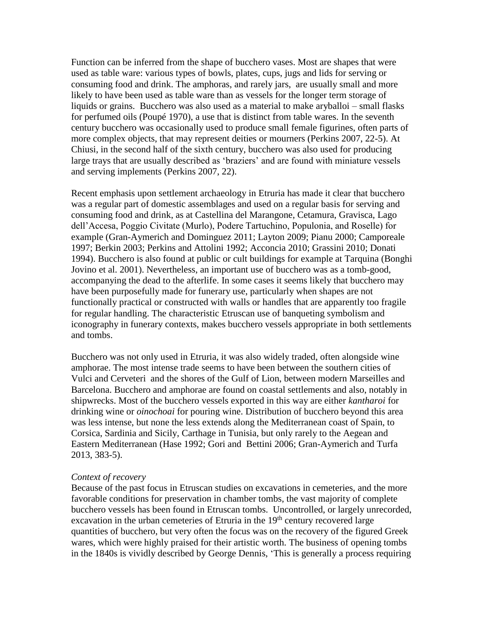Function can be inferred from the shape of bucchero vases. Most are shapes that were used as table ware: various types of bowls, plates, cups, jugs and lids for serving or consuming food and drink. The amphoras, and rarely jars, are usually small and more likely to have been used as table ware than as vessels for the longer term storage of liquids or grains. Bucchero was also used as a material to make aryballoi – small flasks for perfumed oils (Poupé 1970), a use that is distinct from table wares. In the seventh century bucchero was occasionally used to produce small female figurines, often parts of more complex objects, that may represent deities or mourners (Perkins 2007, 22-5). At Chiusi, in the second half of the sixth century, bucchero was also used for producing large trays that are usually described as 'braziers' and are found with miniature vessels and serving implements (Perkins 2007, 22).

Recent emphasis upon settlement archaeology in Etruria has made it clear that bucchero was a regular part of domestic assemblages and used on a regular basis for serving and consuming food and drink, as at Castellina del Marangone, Cetamura, Gravisca, Lago dell'Accesa, Poggio Civitate (Murlo), Podere Tartuchino, Populonia, and Roselle) for example (Gran-Aymerich and Dominguez 2011; Layton 2009; Pianu 2000; Camporeale 1997; Berkin 2003; Perkins and Attolini 1992; Acconcia 2010; Grassini 2010; Donati 1994). Bucchero is also found at public or cult buildings for example at Tarquina (Bonghi Jovino et al. 2001). Nevertheless, an important use of bucchero was as a tomb-good, accompanying the dead to the afterlife. In some cases it seems likely that bucchero may have been purposefully made for funerary use, particularly when shapes are not functionally practical or constructed with walls or handles that are apparently too fragile for regular handling. The characteristic Etruscan use of banqueting symbolism and iconography in funerary contexts, makes bucchero vessels appropriate in both settlements and tombs.

Bucchero was not only used in Etruria, it was also widely traded, often alongside wine amphorae. The most intense trade seems to have been between the southern cities of Vulci and Cerveteri and the shores of the Gulf of Lion, between modern Marseilles and Barcelona. Bucchero and amphorae are found on coastal settlements and also, notably in shipwrecks. Most of the bucchero vessels exported in this way are either *kantharoi* for drinking wine or *oinochoai* for pouring wine. Distribution of bucchero beyond this area was less intense, but none the less extends along the Mediterranean coast of Spain, to Corsica, Sardinia and Sicily, Carthage in Tunisia, but only rarely to the Aegean and Eastern Mediterranean (Hase 1992; Gori and Bettini 2006; Gran-Aymerich and Turfa 2013, 383-5).

#### *Context of recovery*

Because of the past focus in Etruscan studies on excavations in cemeteries, and the more favorable conditions for preservation in chamber tombs, the vast majority of complete bucchero vessels has been found in Etruscan tombs. Uncontrolled, or largely unrecorded, excavation in the urban cemeteries of Etruria in the 19<sup>th</sup> century recovered large quantities of bucchero, but very often the focus was on the recovery of the figured Greek wares, which were highly praised for their artistic worth. The business of opening tombs in the 1840s is vividly described by George Dennis, 'This is generally a process requiring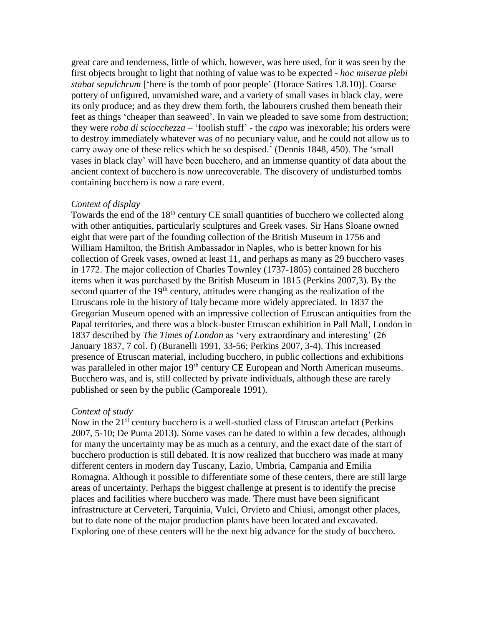great care and tenderness, little of which, however, was here used, for it was seen by the first objects brought to light that nothing of value was to be expected - *hoc miserae plebi stabat sepulchrum* ['here is the tomb of poor people' (Horace Satires 1.8.10)]. Coarse pottery of unfigured, unvarnished ware, and a variety of small vases in black clay, were its only produce; and as they drew them forth, the labourers crushed them beneath their feet as things 'cheaper than seaweed'. In vain we pleaded to save some from destruction; they were *roba di sciocchezza* – 'foolish stuff' - the *capo* was inexorable; his orders were to destroy immediately whatever was of no pecuniary value, and he could not allow us to carry away one of these relics which he so despised.' (Dennis 1848, 450). The 'small vases in black clay' will have been bucchero, and an immense quantity of data about the ancient context of bucchero is now unrecoverable. The discovery of undisturbed tombs containing bucchero is now a rare event.

#### *Context of display*

Towards the end of the  $18<sup>th</sup>$  century CE small quantities of bucchero we collected along with other antiquities, particularly sculptures and Greek vases. Sir Hans Sloane owned eight that were part of the founding collection of the British Museum in 1756 and William Hamilton, the British Ambassador in Naples, who is better known for his collection of Greek vases, owned at least 11, and perhaps as many as 29 bucchero vases in 1772. The major collection of Charles Townley (1737-1805) contained 28 bucchero items when it was purchased by the British Museum in 1815 (Perkins 2007,3). By the second quarter of the  $19<sup>th</sup>$  century, attitudes were changing as the realization of the Etruscans role in the history of Italy became more widely appreciated. In 1837 the Gregorian Museum opened with an impressive collection of Etruscan antiquities from the Papal territories, and there was a block-buster Etruscan exhibition in Pall Mall, London in 1837 described by *The Times of London* as 'very extraordinary and interesting' (26 January 1837, 7 col. f) (Buranelli 1991, 33-56; Perkins 2007, 3-4). This increased presence of Etruscan material, including bucchero, in public collections and exhibitions was paralleled in other major 19<sup>th</sup> century CE European and North American museums. Bucchero was, and is, still collected by private individuals, although these are rarely published or seen by the public (Camporeale 1991).

#### *Context of study*

Now in the 21<sup>st</sup> century bucchero is a well-studied class of Etruscan artefact (Perkins 2007, 5-10; De Puma 2013). Some vases can be dated to within a few decades, although for many the uncertainty may be as much as a century, and the exact date of the start of bucchero production is still debated. It is now realized that bucchero was made at many different centers in modern day Tuscany, Lazio, Umbria, Campania and Emilia Romagna. Although it possible to differentiate some of these centers, there are still large areas of uncertainty. Perhaps the biggest challenge at present is to identify the precise places and facilities where bucchero was made. There must have been significant infrastructure at Cerveteri, Tarquinia, Vulci, Orvieto and Chiusi, amongst other places, but to date none of the major production plants have been located and excavated. Exploring one of these centers will be the next big advance for the study of bucchero.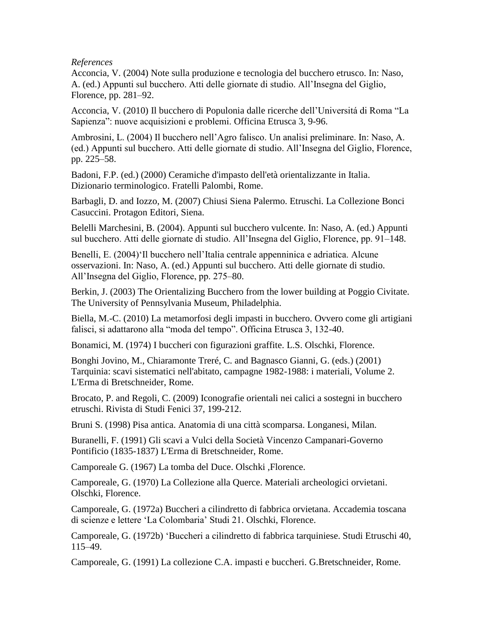# *References*

Acconcia, V. (2004) Note sulla produzione e tecnologia del bucchero etrusco. In: Naso, A. (ed.) Appunti sul bucchero. Atti delle giornate di studio. All'Insegna del Giglio, Florence, pp. 281–92.

Acconcia, V. (2010) Il bucchero di Populonia dalle ricerche dell'Universitá di Roma "La Sapienza": nuove acquisizioni e problemi. Officina Etrusca 3, 9-96.

Ambrosini, L. (2004) Il bucchero nell'Agro falisco. Un analisi preliminare. In: Naso, A. (ed.) Appunti sul bucchero. Atti delle giornate di studio. All'Insegna del Giglio, Florence, pp. 225–58.

Badoni, F.P. (ed.) (2000) Ceramiche d'impasto dell'età orientalizzante in Italia. Dizionario terminologico. Fratelli Palombi, Rome.

Barbagli, D. and Iozzo, M. (2007) Chiusi Siena Palermo. Etruschi. La Collezione Bonci Casuccini. Protagon Editori, Siena.

Belelli Marchesini, B. (2004). Appunti sul bucchero vulcente. In: Naso, A. (ed.) Appunti sul bucchero. Atti delle giornate di studio. All'Insegna del Giglio, Florence, pp. 91–148.

Benelli, E. (2004)'Il bucchero nell'Italia centrale appenninica e adriatica. Alcune osservazioni. In: Naso, A. (ed.) Appunti sul bucchero. Atti delle giornate di studio. All'Insegna del Giglio, Florence, pp. 275–80.

Berkin, J. (2003) The Orientalizing Bucchero from the lower building at Poggio Civitate. The University of Pennsylvania Museum, Philadelphia.

Biella, M.-C. (2010) La metamorfosi degli impasti in bucchero. Ovvero come gli artigiani falisci, si adattarono alla "moda del tempo". Officina Etrusca 3, 132-40.

Bonamici, M. (1974) I buccheri con figurazioni graffite. L.S. Olschki, Florence.

Bonghi Jovino, M., Chiaramonte Treré, C. and Bagnasco Gianni, G. (eds.) (2001) Tarquinia: scavi sistematici nell'abitato, campagne 1982-1988: i materiali, Volume 2. L'Erma di Bretschneider, Rome.

Brocato, P. and Regoli, C. (2009) Iconografie orientali nei calici a sostegni in bucchero etruschi. Rivista di Studi Fenici 37, 199-212.

Bruni S. (1998) Pisa antica. Anatomia di una città scomparsa. Longanesi, Milan.

Buranelli, F. (1991) Gli scavi a Vulci della Società Vincenzo Campanari-Governo Pontificio (1835-1837) L'Erma di Bretschneider, Rome.

Camporeale G. (1967) La tomba del Duce. Olschki ,Florence.

Camporeale, G. (1970) La Collezione alla Querce. Materiali archeologici orvietani. Olschki, Florence.

Camporeale, G. (1972a) Buccheri a cilindretto di fabbrica orvietana. Accademia toscana di scienze e lettere 'La Colombaria' Studi 21. Olschki, Florence.

Camporeale, G. (1972b) 'Buccheri a cilindretto di fabbrica tarquiniese. Studi Etruschi 40, 115–49.

Camporeale, G. (1991) La collezione C.A. impasti e buccheri. G.Bretschneider, Rome.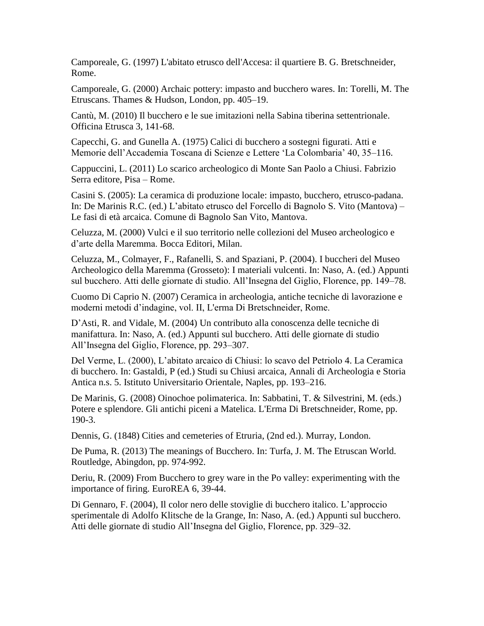Camporeale, G. (1997) L'abitato etrusco dell'Accesa: il quartiere B. G. Bretschneider, Rome.

Camporeale, G. (2000) Archaic pottery: impasto and bucchero wares. In: Torelli, M. The Etruscans. Thames & Hudson, London, pp. 405–19.

Cantù, M. (2010) Il bucchero e le sue imitazioni nella Sabina tiberina settentrionale. Officina Etrusca 3, 141-68.

Capecchi, G. and Gunella A. (1975) Calici di bucchero a sostegni figurati. Atti e Memorie dell'Accademia Toscana di Scienze e Lettere 'La Colombaria' 40, 35–116.

Cappuccini, L. (2011) Lo scarico archeologico di Monte San Paolo a Chiusi. Fabrizio Serra editore, Pisa – Rome.

Casini S. (2005): La ceramica di produzione locale: impasto, bucchero, etrusco-padana. In: De Marinis R.C. (ed.) L'abitato etrusco del Forcello di Bagnolo S. Vito (Mantova) – Le fasi di età arcaica. Comune di Bagnolo San Vito, Mantova.

Celuzza, M. (2000) Vulci e il suo territorio nelle collezioni del Museo archeologico e d'arte della Maremma. Bocca Editori, Milan.

Celuzza, M., Colmayer, F., Rafanelli, S. and Spaziani, P. (2004). I buccheri del Museo Archeologico della Maremma (Grosseto): I materiali vulcenti. In: Naso, A. (ed.) Appunti sul bucchero. Atti delle giornate di studio. All'Insegna del Giglio, Florence, pp. 149–78.

Cuomo Di Caprio N. (2007) Ceramica in archeologia, antiche tecniche di lavorazione e moderni metodi d'indagine, vol. II, L'erma Di Bretschneider, Rome.

D'Asti, R. and Vidale, M. (2004) Un contributo alla conoscenza delle tecniche di manifattura. In: Naso, A. (ed.) Appunti sul bucchero. Atti delle giornate di studio All'Insegna del Giglio, Florence, pp. 293–307.

Del Verme, L. (2000), L'abitato arcaico di Chiusi: lo scavo del Petriolo 4. La Ceramica di bucchero. In: Gastaldi, P (ed.) Studi su Chiusi arcaica, Annali di Archeologia e Storia Antica n.s. 5. Istituto Universitario Orientale, Naples, pp. 193–216.

De Marinis, G. (2008) Oinochoe polimaterica. In: Sabbatini, T. & Silvestrini, M. (eds.) Potere e splendore. Gli antichi piceni a Matelica. L'Erma Di Bretschneider, Rome, pp. 190-3.

Dennis, G. (1848) Cities and cemeteries of Etruria, (2nd ed.). Murray, London.

De Puma, R. (2013) The meanings of Bucchero. In: Turfa, J. M. The Etruscan World. Routledge, Abingdon, pp. 974-992.

Deriu, R. (2009) From Bucchero to grey ware in the Po valley: experimenting with the importance of firing. EuroREA 6, 39-44.

Di Gennaro, F. (2004), Il color nero delle stoviglie di bucchero italico. L'approccio sperimentale di Adolfo Klitsche de la Grange, In: Naso, A. (ed.) Appunti sul bucchero. Atti delle giornate di studio All'Insegna del Giglio, Florence, pp. 329–32.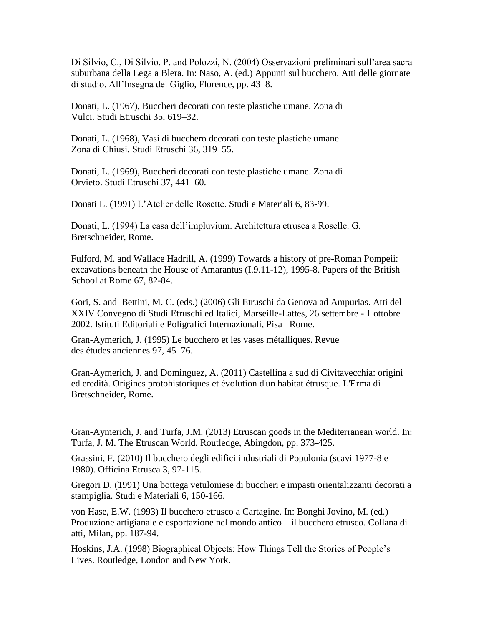Di Silvio, C., Di Silvio, P. and Polozzi, N. (2004) Osservazioni preliminari sull'area sacra suburbana della Lega a Blera. In: Naso, A. (ed.) Appunti sul bucchero. Atti delle giornate di studio. All'Insegna del Giglio, Florence, pp. 43–8.

Donati, L. (1967), Buccheri decorati con teste plastiche umane. Zona di Vulci. Studi Etruschi 35, 619–32.

Donati, L. (1968), Vasi di bucchero decorati con teste plastiche umane. Zona di Chiusi. Studi Etruschi 36, 319–55.

Donati, L. (1969), Buccheri decorati con teste plastiche umane. Zona di Orvieto. Studi Etruschi 37, 441–60.

Donati L. (1991) L'Atelier delle Rosette. Studi e Materiali 6, 83-99.

Donati, L. (1994) La casa dell'impluvium. Architettura etrusca a Roselle. G. Bretschneider, Rome.

Fulford, M. and Wallace Hadrill, A. (1999) Towards a history of pre-Roman Pompeii: excavations beneath the House of Amarantus (I.9.11-12), 1995-8. Papers of the British School at Rome 67, 82-84.

Gori, S. and Bettini, M. C. (eds.) (2006) Gli Etruschi da Genova ad Ampurias. Atti del XXIV Convegno di Studi Etruschi ed Italici, Marseille-Lattes, 26 settembre - 1 ottobre 2002. Istituti Editoriali e Poligrafici Internazionali, Pisa –Rome.

Gran-Aymerich, J. (1995) Le bucchero et les vases métalliques. Revue des études anciennes 97, 45–76.

Gran-Aymerich, J. and Dominguez, A. (2011) Castellina a sud di Civitavecchia: origini ed eredità. Origines protohistoriques et évolution d'un habitat étrusque. L'Erma di Bretschneider, Rome.

Gran-Aymerich, J. and Turfa, J.M. (2013) Etruscan goods in the Mediterranean world. In: Turfa, J. M. The Etruscan World. Routledge, Abingdon, pp. 373-425.

Grassini, F. (2010) Il bucchero degli edifici industriali di Populonia (scavi 1977-8 e 1980). Officina Etrusca 3, 97-115.

Gregori D. (1991) Una bottega vetuloniese di buccheri e impasti orientalizzanti decorati a stampiglia. Studi e Materiali 6, 150-166.

von Hase, E.W. (1993) Il bucchero etrusco a Cartagine. In: Bonghi Jovino, M. (ed.) Produzione artigianale e esportazione nel mondo antico – il bucchero etrusco. Collana di atti, Milan, pp. 187-94.

Hoskins, J.A. (1998) Biographical Objects: How Things Tell the Stories of People's Lives. Routledge, London and New York.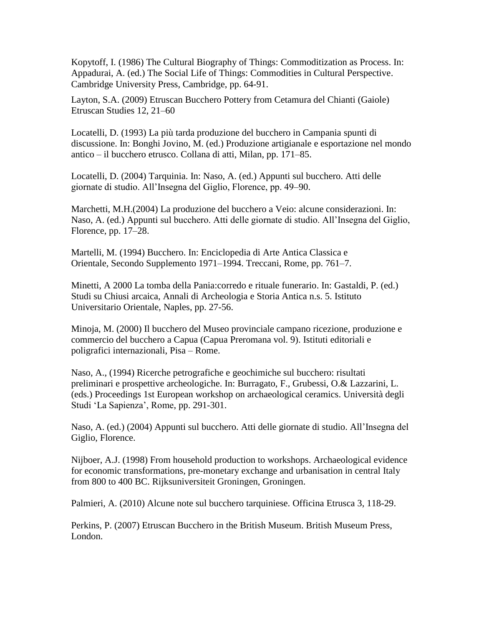Kopytoff, I. (1986) The Cultural Biography of Things: Commoditization as Process. In: Appadurai, A. (ed.) The Social Life of Things: Commodities in Cultural Perspective. Cambridge University Press, Cambridge, pp. 64-91.

Layton, S.A. (2009) Etruscan Bucchero Pottery from Cetamura del Chianti (Gaiole) Etruscan Studies 12, 21–60

Locatelli, D. (1993) La più tarda produzione del bucchero in Campania spunti di discussione. In: Bonghi Jovino, M. (ed.) Produzione artigianale e esportazione nel mondo antico – il bucchero etrusco. Collana di atti, Milan, pp. 171–85.

Locatelli, D. (2004) Tarquinia. In: Naso, A. (ed.) Appunti sul bucchero. Atti delle giornate di studio. All'Insegna del Giglio, Florence, pp. 49–90.

Marchetti, M.H.(2004) La produzione del bucchero a Veio: alcune considerazioni. In: Naso, A. (ed.) Appunti sul bucchero. Atti delle giornate di studio. All'Insegna del Giglio, Florence, pp. 17–28.

Martelli, M. (1994) Bucchero. In: Enciclopedia di Arte Antica Classica e Orientale, Secondo Supplemento 1971–1994. Treccani, Rome, pp. 761–7.

Minetti, A 2000 La tomba della Pania:corredo e rituale funerario. In: Gastaldi, P. (ed.) Studi su Chiusi arcaica, Annali di Archeologia e Storia Antica n.s. 5. Istituto Universitario Orientale, Naples, pp. 27-56.

Minoja, M. (2000) Il bucchero del Museo provinciale campano ricezione, produzione e commercio del bucchero a Capua (Capua Preromana vol. 9). Istituti editoriali e poligrafici internazionali, Pisa – Rome.

Naso, A., (1994) Ricerche petrografiche e geochimiche sul bucchero: risultati preliminari e prospettive archeologiche. In: Burragato, F., Grubessi, O.& Lazzarini, L. (eds.) Proceedings 1st European workshop on archaeological ceramics. Università degli Studi 'La Sapienza', Rome, pp. 291-301.

Naso, A. (ed.) (2004) Appunti sul bucchero. Atti delle giornate di studio. All'Insegna del Giglio, Florence.

Nijboer, A.J. (1998) From household production to workshops. Archaeological evidence for economic transformations, pre-monetary exchange and urbanisation in central Italy from 800 to 400 BC. Rijksuniversiteit Groningen, Groningen.

Palmieri, A. (2010) Alcune note sul bucchero tarquiniese. Officina Etrusca 3, 118-29.

Perkins, P. (2007) Etruscan Bucchero in the British Museum. British Museum Press, London.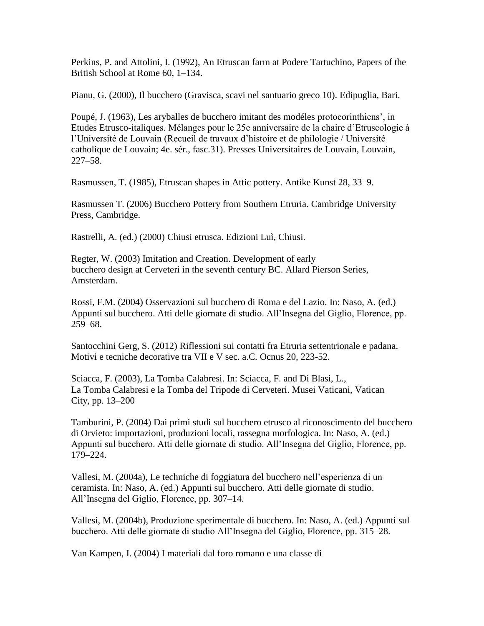Perkins, P. and Attolini, I. (1992), An Etruscan farm at Podere Tartuchino, Papers of the British School at Rome 60, 1–134.

Pianu, G. (2000), Il bucchero (Gravisca, scavi nel santuario greco 10). Edipuglia, Bari.

Poupé, J. (1963), Les aryballes de bucchero imitant des modéles protocorinthiens', in Etudes Etrusco-italiques. Mélanges pour le 25e anniversaire de la chaire d'Etruscologie à l'Université de Louvain (Recueil de travaux d'histoire et de philologie / Université catholique de Louvain; 4e. sér., fasc.31). Presses Universitaires de Louvain, Louvain, 227–58.

Rasmussen, T. (1985), Etruscan shapes in Attic pottery. Antike Kunst 28, 33–9.

Rasmussen T. (2006) Bucchero Pottery from Southern Etruria. Cambridge University Press, Cambridge.

Rastrelli, A. (ed.) (2000) Chiusi etrusca. Edizioni Luì, Chiusi.

Regter, W. (2003) Imitation and Creation. Development of early bucchero design at Cerveteri in the seventh century BC. Allard Pierson Series, Amsterdam.

Rossi, F.M. (2004) Osservazioni sul bucchero di Roma e del Lazio. In: Naso, A. (ed.) Appunti sul bucchero. Atti delle giornate di studio. All'Insegna del Giglio, Florence, pp. 259–68.

Santocchini Gerg, S. (2012) Riflessioni sui contatti fra Etruria settentrionale e padana. Motivi e tecniche decorative tra VII e V sec. a.C. Ocnus 20, 223-52.

Sciacca, F. (2003), La Tomba Calabresi. In: Sciacca, F. and Di Blasi, L., La Tomba Calabresi e la Tomba del Tripode di Cerveteri. Musei Vaticani, Vatican City, pp. 13–200

Tamburini, P. (2004) Dai primi studi sul bucchero etrusco al riconoscimento del bucchero di Orvieto: importazioni, produzioni locali, rassegna morfologica. In: Naso, A. (ed.) Appunti sul bucchero. Atti delle giornate di studio. All'Insegna del Giglio, Florence, pp. 179–224.

Vallesi, M. (2004a), Le techniche di foggiatura del bucchero nell'esperienza di un ceramista. In: Naso, A. (ed.) Appunti sul bucchero. Atti delle giornate di studio. All'Insegna del Giglio, Florence, pp. 307–14.

Vallesi, M. (2004b), Produzione sperimentale di bucchero. In: Naso, A. (ed.) Appunti sul bucchero. Atti delle giornate di studio All'Insegna del Giglio, Florence, pp. 315–28.

Van Kampen, I. (2004) I materiali dal foro romano e una classe di